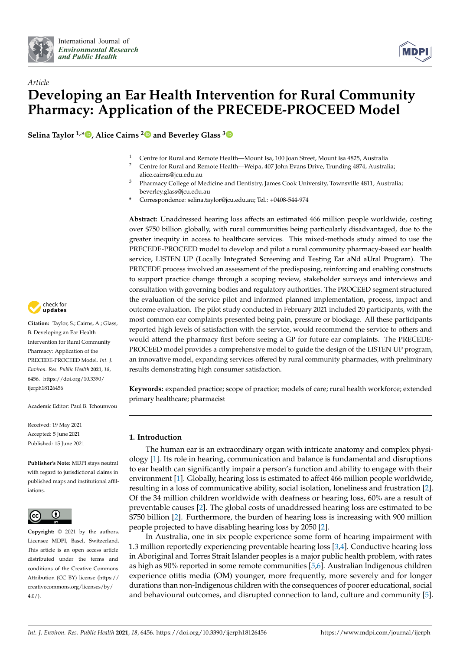



# *Article* **Developing an Ear Health Intervention for Rural Community Pharmacy: Application of the PRECEDE-PROCEED Model**

**Selina Taylor 1,\* [,](https://orcid.org/0000-0002-3230-889X) Alice Cairns [2](https://orcid.org/0000-0002-3943-1444) and Beverley Glass [3](https://orcid.org/0000-0002-5444-3312)**

- 1 Centre for Rural and Remote Health—Mount Isa, 100 Joan Street, Mount Isa 4825, Australia<br>2 Centre for Bural and Remote Health Weina 407 John Evans Drive, Trunding 4874, Austral
- <sup>2</sup> Centre for Rural and Remote Health—Weipa, 407 John Evans Drive, Trunding 4874, Australia; alice.cairns@jcu.edu.au
- <sup>3</sup> Pharmacy College of Medicine and Dentistry, James Cook University, Townsville 4811, Australia; beverley.glass@jcu.edu.au
- **\*** Correspondence: selina.taylor@jcu.edu.au; Tel.: +0408-544-974

**Abstract:** Unaddressed hearing loss affects an estimated 466 million people worldwide, costing over \$750 billion globally, with rural communities being particularly disadvantaged, due to the greater inequity in access to healthcare services. This mixed-methods study aimed to use the PRECEDE-PROCEED model to develop and pilot a rural community pharmacy-based ear health service, LISTEN UP (**L**ocally **I**ntegrated **S**creening and **T**esting **E**ar a**N**d a**U**ral **P**rogram). The PRECEDE process involved an assessment of the predisposing, reinforcing and enabling constructs to support practice change through a scoping review, stakeholder surveys and interviews and consultation with governing bodies and regulatory authorities. The PROCEED segment structured the evaluation of the service pilot and informed planned implementation, process, impact and outcome evaluation. The pilot study conducted in February 2021 included 20 participants, with the most common ear complaints presented being pain, pressure or blockage. All these participants reported high levels of satisfaction with the service, would recommend the service to others and would attend the pharmacy first before seeing a GP for future ear complaints. The PRECEDE-PROCEED model provides a comprehensive model to guide the design of the LISTEN UP program, an innovative model, expanding services offered by rural community pharmacies, with preliminary results demonstrating high consumer satisfaction.

**Keywords:** expanded practice; scope of practice; models of care; rural health workforce; extended primary healthcare; pharmacist

# **1. Introduction**

The human ear is an extraordinary organ with intricate anatomy and complex physiology [\[1\]](#page-12-0). Its role in hearing, communication and balance is fundamental and disruptions to ear health can significantly impair a person's function and ability to engage with their environment [\[1\]](#page-12-0). Globally, hearing loss is estimated to affect 466 million people worldwide, resulting in a loss of communicative ability, social isolation, loneliness and frustration [\[2\]](#page-12-1). Of the 34 million children worldwide with deafness or hearing loss, 60% are a result of preventable causes [\[2\]](#page-12-1). The global costs of unaddressed hearing loss are estimated to be \$750 billion [\[2\]](#page-12-1). Furthermore, the burden of hearing loss is increasing with 900 million people projected to have disabling hearing loss by 2050 [\[2\]](#page-12-1).

In Australia, one in six people experience some form of hearing impairment with 1.3 million reportedly experiencing preventable hearing loss [\[3,](#page-12-2)[4\]](#page-12-3). Conductive hearing loss in Aboriginal and Torres Strait Islander peoples is a major public health problem, with rates as high as 90% reported in some remote communities [\[5](#page-12-4)[,6\]](#page-12-5). Australian Indigenous children experience otitis media (OM) younger, more frequently, more severely and for longer durations than non-Indigenous children with the consequences of poorer educational, social and behavioural outcomes, and disrupted connection to land, culture and community [\[5\]](#page-12-4).



**Citation:** Taylor, S.; Cairns, A.; Glass, B. Developing an Ear Health Intervention for Rural Community Pharmacy: Application of the PRECEDE-PROCEED Model. *Int. J. Environ. Res. Public Health* **2021**, *18*, 6456. [https://doi.org/10.3390/](https://doi.org/10.3390/ijerph18126456) [ijerph18126456](https://doi.org/10.3390/ijerph18126456)

Academic Editor: Paul B. Tchounwou

Received: 19 May 2021 Accepted: 5 June 2021 Published: 15 June 2021

**Publisher's Note:** MDPI stays neutral with regard to jurisdictional claims in published maps and institutional affiliations.



**Copyright:** © 2021 by the authors. Licensee MDPI, Basel, Switzerland. This article is an open access article distributed under the terms and conditions of the Creative Commons Attribution (CC BY) license (https:/[/](https://creativecommons.org/licenses/by/4.0/) [creativecommons.org/licenses/by/](https://creativecommons.org/licenses/by/4.0/)  $4.0/$ ).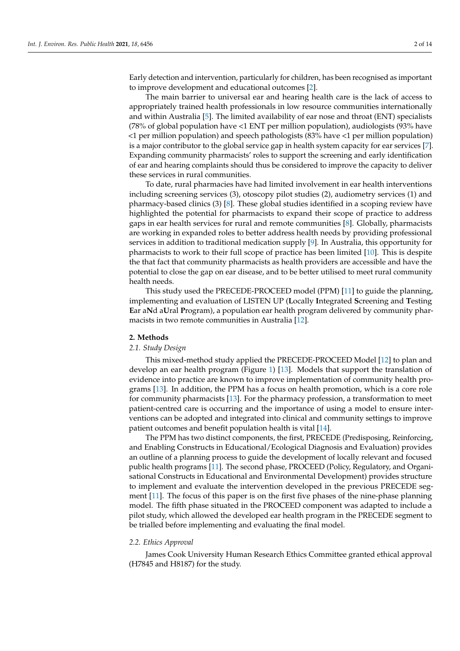Early detection and intervention, particularly for children, has been recognised as important to improve development and educational outcomes [\[2\]](#page-12-1).

The main barrier to universal ear and hearing health care is the lack of access to appropriately trained health professionals in low resource communities internationally and within Australia [\[5\]](#page-12-4). The limited availability of ear nose and throat (ENT) specialists (78% of global population have <1 ENT per million population), audiologists (93% have <1 per million population) and speech pathologists (83% have <1 per million population) is a major contributor to the global service gap in health system capacity for ear services [\[7\]](#page-12-6). Expanding community pharmacists' roles to support the screening and early identification of ear and hearing complaints should thus be considered to improve the capacity to deliver these services in rural communities.

To date, rural pharmacies have had limited involvement in ear health interventions including screening services (3), otoscopy pilot studies (2), audiometry services (1) and pharmacy-based clinics (3) [\[8\]](#page-12-7). These global studies identified in a scoping review have highlighted the potential for pharmacists to expand their scope of practice to address gaps in ear health services for rural and remote communities [\[8\]](#page-12-7). Globally, pharmacists are working in expanded roles to better address health needs by providing professional services in addition to traditional medication supply [\[9\]](#page-12-8). In Australia, this opportunity for pharmacists to work to their full scope of practice has been limited [\[10\]](#page-12-9). This is despite the that fact that community pharmacists as health providers are accessible and have the potential to close the gap on ear disease, and to be better utilised to meet rural community health needs.

This study used the PRECEDE-PROCEED model (PPM) [\[11\]](#page-12-10) to guide the planning, implementing and evaluation of LISTEN UP (**L**ocally **I**ntegrated **S**creening and **T**esting **E**ar a**N**d a**U**ral **P**rogram), a population ear health program delivered by community pharmacists in two remote communities in Australia [\[12\]](#page-12-11).

#### **2. Methods**

#### *2.1. Study Design*

This mixed-method study applied the PRECEDE-PROCEED Model [\[12\]](#page-12-11) to plan and develop an ear health program (Figure [1\)](#page-2-0) [\[13\]](#page-12-12). Models that support the translation of evidence into practice are known to improve implementation of community health programs [\[13\]](#page-12-12). In addition, the PPM has a focus on health promotion, which is a core role for community pharmacists [\[13\]](#page-12-12). For the pharmacy profession, a transformation to meet patient-centred care is occurring and the importance of using a model to ensure interventions can be adopted and integrated into clinical and community settings to improve patient outcomes and benefit population health is vital [\[14\]](#page-12-13).

The PPM has two distinct components, the first, PRECEDE (Predisposing, Reinforcing, and Enabling Constructs in Educational/Ecological Diagnosis and Evaluation) provides an outline of a planning process to guide the development of locally relevant and focused public health programs [\[11\]](#page-12-10). The second phase, PROCEED (Policy, Regulatory, and Organisational Constructs in Educational and Environmental Development) provides structure to implement and evaluate the intervention developed in the previous PRECEDE segment [\[11\]](#page-12-10). The focus of this paper is on the first five phases of the nine-phase planning model. The fifth phase situated in the PROCEED component was adapted to include a pilot study, which allowed the developed ear health program in the PRECEDE segment to be trialled before implementing and evaluating the final model.

#### *2.2. Ethics Approval*

James Cook University Human Research Ethics Committee granted ethical approval (H7845 and H8187) for the study.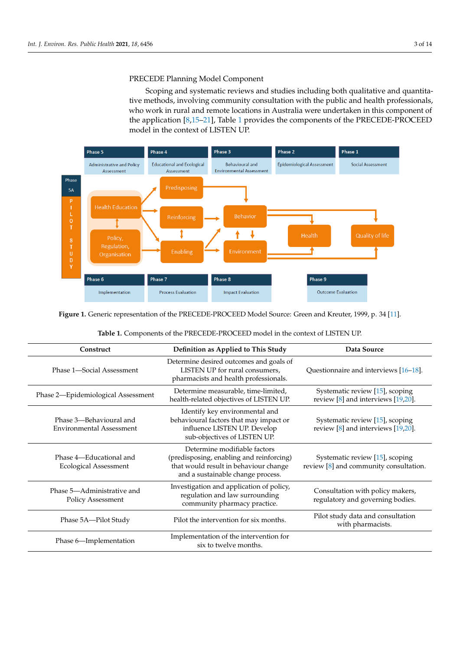# PRECEDE Planning Model Component

Scoping and systematic reviews and studies including both qualitative and quantitative methods, involving community consultation with the public and health professionals, who work in rural and remote locations in Australia were undertaken in this component of the application [\[8,](#page-12-7)[15](#page-12-14)[–21\]](#page-12-15), Table [1](#page-3-0) provides the components of the PRECEDE-PROCEED model in the context of LISTEN UP.

<span id="page-2-0"></span>

# **Figure 1.** Generic representation of the PRECEDE-PROCEED Model Source: Green and Kreuter, 1999, p. 34 [\[11\]](#page-12-10).

| Construct                                                  | Definition as Applied to This Study                                                                                                                    | Data Source                                                                 |  |
|------------------------------------------------------------|--------------------------------------------------------------------------------------------------------------------------------------------------------|-----------------------------------------------------------------------------|--|
| Phase 1—Social Assessment                                  | Determine desired outcomes and goals of<br>LISTEN UP for rural consumers,<br>pharmacists and health professionals.                                     | Questionnaire and interviews [16–18].                                       |  |
| Phase 2-Epidemiological Assessment                         | Determine measurable, time-limited,<br>health-related objectives of LISTEN UP.                                                                         | Systematic review [15], scoping<br>review [8] and interviews [19,20].       |  |
| Phase 3-Behavioural and<br><b>Environmental Assessment</b> | Identify key environmental and<br>behavioural factors that may impact or<br>influence LISTEN UP. Develop<br>sub-objectives of LISTEN UP.               | Systematic review [15], scoping<br>review $[8]$ and interviews $[19,20]$ .  |  |
| Phase 4—Educational and<br>Ecological Assessment           | Determine modifiable factors<br>(predisposing, enabling and reinforcing)<br>that would result in behaviour change<br>and a sustainable change process. | Systematic review [15], scoping<br>review $[8]$ and community consultation. |  |
| Phase 5—Administrative and<br>Policy Assessment            | Investigation and application of policy,<br>regulation and law surrounding<br>community pharmacy practice.                                             | Consultation with policy makers,<br>regulatory and governing bodies.        |  |
| Phase 5A-Pilot Study                                       | Pilot the intervention for six months.                                                                                                                 | Pilot study data and consultation<br>with pharmacists.                      |  |
| Phase 6-Implementation                                     | Implementation of the intervention for<br>six to twelve months.                                                                                        |                                                                             |  |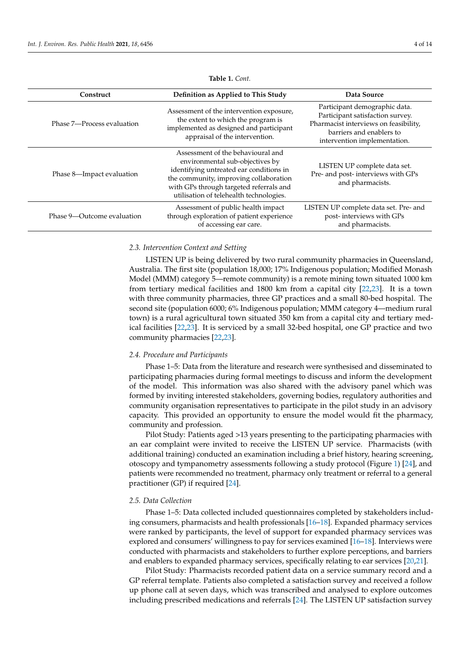<span id="page-3-0"></span>

| Construct                  | Definition as Applied to This Study                                                                                                                                                                                                             | Data Source                                                                                                                                                            |  |
|----------------------------|-------------------------------------------------------------------------------------------------------------------------------------------------------------------------------------------------------------------------------------------------|------------------------------------------------------------------------------------------------------------------------------------------------------------------------|--|
| Phase 7-Process evaluation | Assessment of the intervention exposure,<br>the extent to which the program is<br>implemented as designed and participant<br>appraisal of the intervention.                                                                                     | Participant demographic data.<br>Participant satisfaction survey.<br>Pharmacist interviews on feasibility,<br>barriers and enablers to<br>intervention implementation. |  |
| Phase 8—Impact evaluation  | Assessment of the behavioural and<br>environmental sub-objectives by<br>identifying untreated ear conditions in<br>the community, improving collaboration<br>with GPs through targeted referrals and<br>utilisation of telehealth technologies. | LISTEN UP complete data set.<br>Pre- and post- interviews with GPs<br>and pharmacists.                                                                                 |  |
| Phase 9—Outcome evaluation | Assessment of public health impact<br>through exploration of patient experience<br>of accessing ear care.                                                                                                                                       | LISTEN UP complete data set. Pre- and<br>post-interviews with GPs<br>and pharmacists.                                                                                  |  |

**Table 1.** *Cont.*

# *2.3. Intervention Context and Setting*

LISTEN UP is being delivered by two rural community pharmacies in Queensland, Australia. The first site (population 18,000; 17% Indigenous population; Modified Monash Model (MMM) category 5—remote community) is a remote mining town situated 1000 km from tertiary medical facilities and 1800 km from a capital city [\[22,](#page-13-0)[23\]](#page-13-1). It is a town with three community pharmacies, three GP practices and a small 80-bed hospital. The second site (population 6000; 6% Indigenous population; MMM category 4—medium rural town) is a rural agricultural town situated 350 km from a capital city and tertiary medical facilities [\[22](#page-13-0)[,23\]](#page-13-1). It is serviced by a small 32-bed hospital, one GP practice and two community pharmacies [\[22](#page-13-0)[,23\]](#page-13-1).

## *2.4. Procedure and Participants*

Phase 1–5: Data from the literature and research were synthesised and disseminated to participating pharmacies during formal meetings to discuss and inform the development of the model. This information was also shared with the advisory panel which was formed by inviting interested stakeholders, governing bodies, regulatory authorities and community organisation representatives to participate in the pilot study in an advisory capacity. This provided an opportunity to ensure the model would fit the pharmacy, community and profession.

Pilot Study: Patients aged >13 years presenting to the participating pharmacies with an ear complaint were invited to receive the LISTEN UP service. Pharmacists (with additional training) conducted an examination including a brief history, hearing screening, otoscopy and tympanometry assessments following a study protocol (Figure [1\)](#page-2-0) [\[24\]](#page-13-2), and patients were recommended no treatment, pharmacy only treatment or referral to a general practitioner (GP) if required [\[24\]](#page-13-2).

#### *2.5. Data Collection*

Phase 1–5: Data collected included questionnaires completed by stakeholders including consumers, pharmacists and health professionals [\[16–](#page-12-16)[18\]](#page-12-17). Expanded pharmacy services were ranked by participants, the level of support for expanded pharmacy services was explored and consumers' willingness to pay for services examined [\[16](#page-12-16)[–18\]](#page-12-17). Interviews were conducted with pharmacists and stakeholders to further explore perceptions, and barriers and enablers to expanded pharmacy services, specifically relating to ear services [\[20,](#page-12-19)[21\]](#page-12-15).

Pilot Study: Pharmacists recorded patient data on a service summary record and a GP referral template. Patients also completed a satisfaction survey and received a follow up phone call at seven days, which was transcribed and analysed to explore outcomes including prescribed medications and referrals [\[24\]](#page-13-2). The LISTEN UP satisfaction survey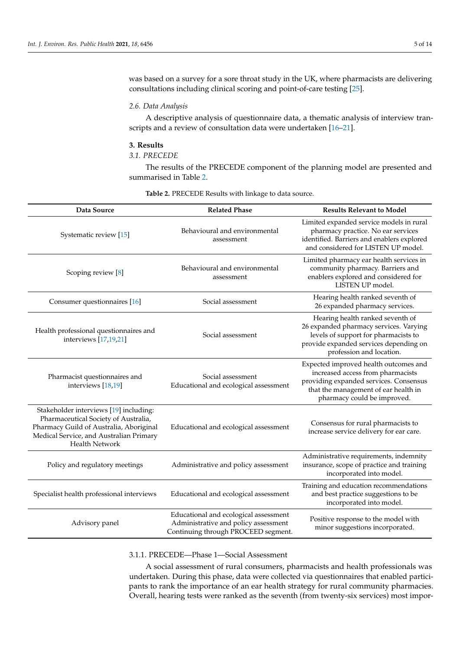was based on a survey for a sore throat study in the UK, where pharmacists are delivering consultations including clinical scoring and point-of-care testing [\[25\]](#page-13-3).

### *2.6. Data Analysis*

A descriptive analysis of questionnaire data, a thematic analysis of interview transcripts and a review of consultation data were undertaken [\[16–](#page-12-16)[21\]](#page-12-15).

#### **3. Results**

# *3.1. PRECEDE*

The results of the PRECEDE component of the planning model are presented and summarised in Table [2.](#page-4-0)

<span id="page-4-0"></span>

| Data Source                                                                                                                                                                                   | <b>Related Phase</b>                                                                                                 | <b>Results Relevant to Model</b>                                                                                                                                                            |
|-----------------------------------------------------------------------------------------------------------------------------------------------------------------------------------------------|----------------------------------------------------------------------------------------------------------------------|---------------------------------------------------------------------------------------------------------------------------------------------------------------------------------------------|
| Systematic review [15]                                                                                                                                                                        | Behavioural and environmental<br>assessment                                                                          | Limited expanded service models in rural<br>pharmacy practice. No ear services<br>identified. Barriers and enablers explored<br>and considered for LISTEN UP model.                         |
| Scoping review [8]                                                                                                                                                                            | Behavioural and environmental<br>assessment                                                                          | Limited pharmacy ear health services in<br>community pharmacy. Barriers and<br>enablers explored and considered for<br>LISTEN UP model.                                                     |
| Consumer questionnaires [16]                                                                                                                                                                  | Social assessment                                                                                                    | Hearing health ranked seventh of<br>26 expanded pharmacy services.                                                                                                                          |
| Health professional questionnaires and<br>interviews [17,19,21]                                                                                                                               | Social assessment                                                                                                    | Hearing health ranked seventh of<br>26 expanded pharmacy services. Varying<br>levels of support for pharmacists to<br>provide expanded services depending on<br>profession and location.    |
| Pharmacist questionnaires and<br>interviews [18,19]                                                                                                                                           | Social assessment<br>Educational and ecological assessment                                                           | Expected improved health outcomes and<br>increased access from pharmacists<br>providing expanded services. Consensus<br>that the management of ear health in<br>pharmacy could be improved. |
| Stakeholder interviews [19] including:<br>Pharmaceutical Society of Australia,<br>Pharmacy Guild of Australia, Aboriginal<br>Medical Service, and Australian Primary<br><b>Health Network</b> | Educational and ecological assessment                                                                                | Consensus for rural pharmacists to<br>increase service delivery for ear care.                                                                                                               |
| Policy and regulatory meetings                                                                                                                                                                | Administrative and policy assessment                                                                                 | Administrative requirements, indemnity<br>insurance, scope of practice and training<br>incorporated into model.                                                                             |
| Specialist health professional interviews                                                                                                                                                     | Educational and ecological assessment                                                                                | Training and education recommendations<br>and best practice suggestions to be<br>incorporated into model.                                                                                   |
| Advisory panel                                                                                                                                                                                | Educational and ecological assessment<br>Administrative and policy assessment<br>Continuing through PROCEED segment. | Positive response to the model with<br>minor suggestions incorporated.                                                                                                                      |
|                                                                                                                                                                                               |                                                                                                                      |                                                                                                                                                                                             |

**Table 2.** PRECEDE Results with linkage to data source.

# 3.1.1. PRECEDE—Phase 1—Social Assessment

A social assessment of rural consumers, pharmacists and health professionals was undertaken. During this phase, data were collected via questionnaires that enabled participants to rank the importance of an ear health strategy for rural community pharmacies. Overall, hearing tests were ranked as the seventh (from twenty-six services) most impor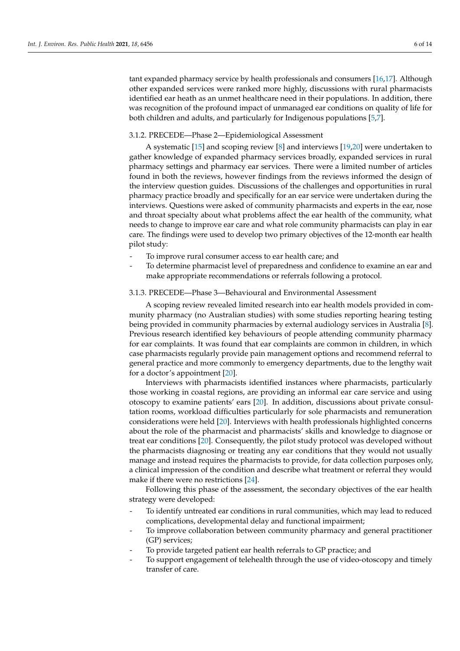tant expanded pharmacy service by health professionals and consumers [\[16,](#page-12-16)[17\]](#page-12-20). Although other expanded services were ranked more highly, discussions with rural pharmacists identified ear heath as an unmet healthcare need in their populations. In addition, there was recognition of the profound impact of unmanaged ear conditions on quality of life for both children and adults, and particularly for Indigenous populations [\[5](#page-12-4)[,7\]](#page-12-6).

## 3.1.2. PRECEDE—Phase 2—Epidemiological Assessment

A systematic [\[15\]](#page-12-14) and scoping review [\[8\]](#page-12-7) and interviews [\[19](#page-12-18)[,20\]](#page-12-19) were undertaken to gather knowledge of expanded pharmacy services broadly, expanded services in rural pharmacy settings and pharmacy ear services. There were a limited number of articles found in both the reviews, however findings from the reviews informed the design of the interview question guides. Discussions of the challenges and opportunities in rural pharmacy practice broadly and specifically for an ear service were undertaken during the interviews. Questions were asked of community pharmacists and experts in the ear, nose and throat specialty about what problems affect the ear health of the community, what needs to change to improve ear care and what role community pharmacists can play in ear care. The findings were used to develop two primary objectives of the 12-month ear health pilot study:

- To improve rural consumer access to ear health care; and
- To determine pharmacist level of preparedness and confidence to examine an ear and make appropriate recommendations or referrals following a protocol.

### 3.1.3. PRECEDE—Phase 3—Behavioural and Environmental Assessment

A scoping review revealed limited research into ear health models provided in community pharmacy (no Australian studies) with some studies reporting hearing testing being provided in community pharmacies by external audiology services in Australia [\[8\]](#page-12-7). Previous research identified key behaviours of people attending community pharmacy for ear complaints. It was found that ear complaints are common in children, in which case pharmacists regularly provide pain management options and recommend referral to general practice and more commonly to emergency departments, due to the lengthy wait for a doctor's appointment [\[20\]](#page-12-19).

Interviews with pharmacists identified instances where pharmacists, particularly those working in coastal regions, are providing an informal ear care service and using otoscopy to examine patients' ears [\[20\]](#page-12-19). In addition, discussions about private consultation rooms, workload difficulties particularly for sole pharmacists and remuneration considerations were held [\[20\]](#page-12-19). Interviews with health professionals highlighted concerns about the role of the pharmacist and pharmacists' skills and knowledge to diagnose or treat ear conditions [\[20\]](#page-12-19). Consequently, the pilot study protocol was developed without the pharmacists diagnosing or treating any ear conditions that they would not usually manage and instead requires the pharmacists to provide, for data collection purposes only, a clinical impression of the condition and describe what treatment or referral they would make if there were no restrictions [\[24\]](#page-13-2).

Following this phase of the assessment, the secondary objectives of the ear health strategy were developed:

- To identify untreated ear conditions in rural communities, which may lead to reduced complications, developmental delay and functional impairment;
- To improve collaboration between community pharmacy and general practitioner (GP) services;
- To provide targeted patient ear health referrals to GP practice; and
- To support engagement of telehealth through the use of video-otoscopy and timely transfer of care.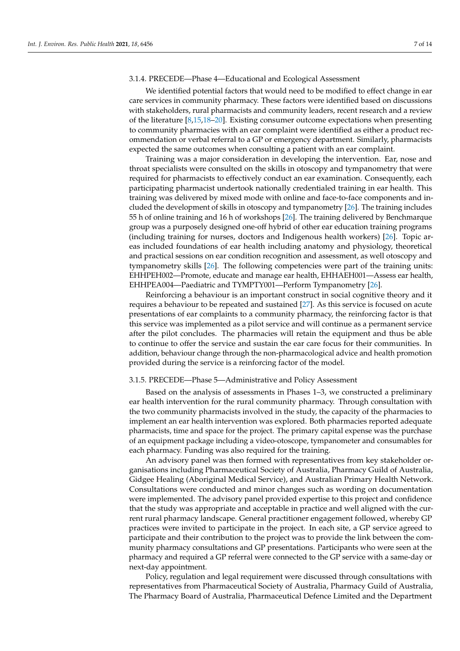## 3.1.4. PRECEDE—Phase 4—Educational and Ecological Assessment

We identified potential factors that would need to be modified to effect change in ear care services in community pharmacy. These factors were identified based on discussions with stakeholders, rural pharmacists and community leaders, recent research and a review of the literature [\[8](#page-12-7)[,15](#page-12-14)[,18–](#page-12-17)[20\]](#page-12-19). Existing consumer outcome expectations when presenting to community pharmacies with an ear complaint were identified as either a product recommendation or verbal referral to a GP or emergency department. Similarly, pharmacists expected the same outcomes when consulting a patient with an ear complaint.

Training was a major consideration in developing the intervention. Ear, nose and throat specialists were consulted on the skills in otoscopy and tympanometry that were required for pharmacists to effectively conduct an ear examination. Consequently, each participating pharmacist undertook nationally credentialed training in ear health. This training was delivered by mixed mode with online and face-to-face components and included the development of skills in otoscopy and tympanometry [\[26\]](#page-13-4). The training includes 55 h of online training and 16 h of workshops [\[26\]](#page-13-4). The training delivered by Benchmarque group was a purposely designed one-off hybrid of other ear education training programs (including training for nurses, doctors and Indigenous health workers) [\[26\]](#page-13-4). Topic areas included foundations of ear health including anatomy and physiology, theoretical and practical sessions on ear condition recognition and assessment, as well otoscopy and tympanometry skills [\[26\]](#page-13-4). The following competencies were part of the training units: EHHPEH002—Promote, educate and manage ear health, EHHAEH001—Assess ear health, EHHPEA004—Paediatric and TYMPTY001—Perform Tympanometry [\[26\]](#page-13-4).

Reinforcing a behaviour is an important construct in social cognitive theory and it requires a behaviour to be repeated and sustained [\[27\]](#page-13-5). As this service is focused on acute presentations of ear complaints to a community pharmacy, the reinforcing factor is that this service was implemented as a pilot service and will continue as a permanent service after the pilot concludes. The pharmacies will retain the equipment and thus be able to continue to offer the service and sustain the ear care focus for their communities. In addition, behaviour change through the non-pharmacological advice and health promotion provided during the service is a reinforcing factor of the model.

#### 3.1.5. PRECEDE—Phase 5—Administrative and Policy Assessment

Based on the analysis of assessments in Phases 1–3, we constructed a preliminary ear health intervention for the rural community pharmacy. Through consultation with the two community pharmacists involved in the study, the capacity of the pharmacies to implement an ear health intervention was explored. Both pharmacies reported adequate pharmacists, time and space for the project. The primary capital expense was the purchase of an equipment package including a video-otoscope, tympanometer and consumables for each pharmacy. Funding was also required for the training.

An advisory panel was then formed with representatives from key stakeholder organisations including Pharmaceutical Society of Australia, Pharmacy Guild of Australia, Gidgee Healing (Aboriginal Medical Service), and Australian Primary Health Network. Consultations were conducted and minor changes such as wording on documentation were implemented. The advisory panel provided expertise to this project and confidence that the study was appropriate and acceptable in practice and well aligned with the current rural pharmacy landscape. General practitioner engagement followed, whereby GP practices were invited to participate in the project. In each site, a GP service agreed to participate and their contribution to the project was to provide the link between the community pharmacy consultations and GP presentations. Participants who were seen at the pharmacy and required a GP referral were connected to the GP service with a same-day or next-day appointment.

Policy, regulation and legal requirement were discussed through consultations with representatives from Pharmaceutical Society of Australia, Pharmacy Guild of Australia, The Pharmacy Board of Australia, Pharmaceutical Defence Limited and the Department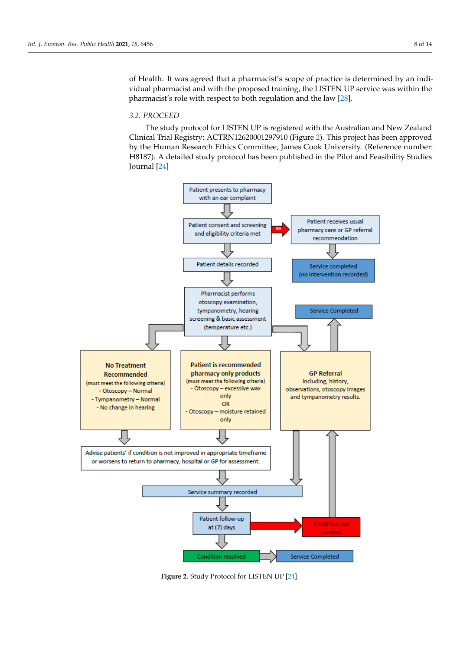of Health. It was agreed that a pharmacist's scope of practice is determined by an individual pharmacist and with the proposed training, the LISTEN UP service was within the pharmacist's role with respect to both regulation and the law [\[28\]](#page-13-6).

# *3.2. PROCEED*

The study protocol for LISTEN UP is registered with the Australian and New Zealand Clinical Trial Registry: ACTRN12620001297910 (Figure [2\)](#page-7-0). This project has been approved by the Human Research Ethics Committee, James Cook University. (Reference number: H8187). A detailed study protocol has been published in the Pilot and Feasibility Studies Journal [\[24\]](#page-13-2)

<span id="page-7-0"></span>

**Figure 2.** Study Protocol for LISTEN UP [\[24\]](#page-13-2).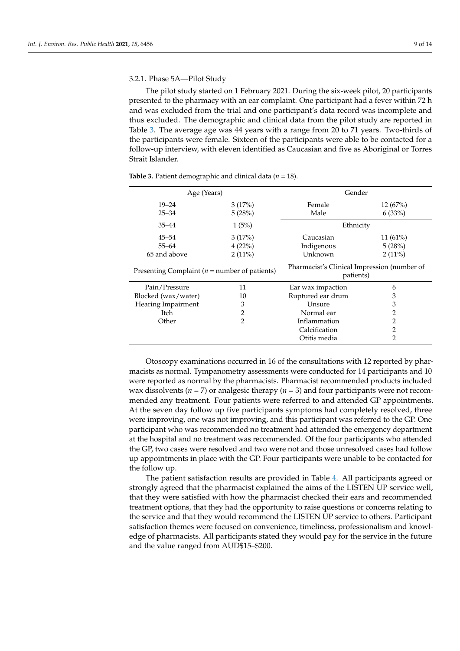# 3.2.1. Phase 5A—Pilot Study

The pilot study started on 1 February 2021. During the six-week pilot, 20 participants presented to the pharmacy with an ear complaint. One participant had a fever within 72 h and was excluded from the trial and one participant's data record was incomplete and thus excluded. The demographic and clinical data from the pilot study are reported in Table [3.](#page-8-0) The average age was 44 years with a range from 20 to 71 years. Two-thirds of the participants were female. Sixteen of the participants were able to be contacted for a follow-up interview, with eleven identified as Caucasian and five as Aboriginal or Torres Strait Islander.

| Age (Years)                                      |           | Gender                                                   |            |
|--------------------------------------------------|-----------|----------------------------------------------------------|------------|
| $19 - 24$                                        | 3(17%)    | Female                                                   | 12(67%)    |
| $25 - 34$                                        | 5(28%)    | Male                                                     | 6(33%)     |
| $35 - 44$                                        | 1(5%)     | Ethnicity                                                |            |
| $45 - 54$                                        | 3(17%)    | Caucasian                                                | $11(61\%)$ |
| $55 - 64$                                        | 4(22%)    | Indigenous                                               | 5(28%)     |
| 65 and above                                     | $2(11\%)$ | Unknown                                                  | $2(11\%)$  |
| Presenting Complaint ( $n =$ number of patients) |           | Pharmacist's Clinical Impression (number of<br>patients) |            |
| Pain/Pressure                                    | 11        | Ear wax impaction                                        | 6          |
| Blocked (wax/water)                              | 10        | Ruptured ear drum                                        | 3          |
| Hearing Impairment                               | 3         | Unsure                                                   | З          |
| Itch                                             | 2         | Normal ear                                               |            |
| Other                                            | 2         | Inflammation                                             |            |
|                                                  |           | Calcification                                            | 2          |
|                                                  |           | Otitis media                                             | 2          |

<span id="page-8-0"></span>**Table 3.** Patient demographic and clinical data ( $n = 18$ ).

Otoscopy examinations occurred in 16 of the consultations with 12 reported by pharmacists as normal. Tympanometry assessments were conducted for 14 participants and 10 were reported as normal by the pharmacists. Pharmacist recommended products included wax dissolvents (*n* = 7) or analgesic therapy (*n* = 3) and four participants were not recommended any treatment. Four patients were referred to and attended GP appointments. At the seven day follow up five participants symptoms had completely resolved, three were improving, one was not improving, and this participant was referred to the GP. One participant who was recommended no treatment had attended the emergency department at the hospital and no treatment was recommended. Of the four participants who attended the GP, two cases were resolved and two were not and those unresolved cases had follow up appointments in place with the GP. Four participants were unable to be contacted for the follow up.

The patient satisfaction results are provided in Table [4.](#page-9-0) All participants agreed or strongly agreed that the pharmacist explained the aims of the LISTEN UP service well, that they were satisfied with how the pharmacist checked their ears and recommended treatment options, that they had the opportunity to raise questions or concerns relating to the service and that they would recommend the LISTEN UP service to others. Participant satisfaction themes were focused on convenience, timeliness, professionalism and knowledge of pharmacists. All participants stated they would pay for the service in the future and the value ranged from AUD\$15–\$200.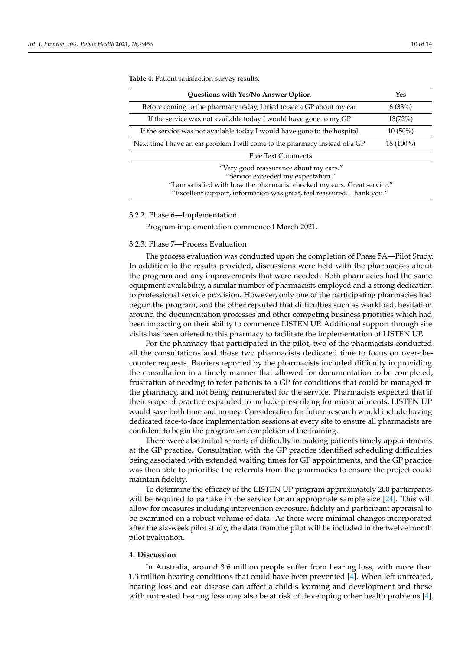| <b>Questions with Yes/No Answer Option</b>                                                                                                                                                                                         | Yes        |  |
|------------------------------------------------------------------------------------------------------------------------------------------------------------------------------------------------------------------------------------|------------|--|
| Before coming to the pharmacy today, I tried to see a GP about my ear                                                                                                                                                              | 6(33%)     |  |
| If the service was not available today I would have gone to my GP                                                                                                                                                                  | 13(72%)    |  |
| If the service was not available today I would have gone to the hospital                                                                                                                                                           | $10(50\%)$ |  |
| Next time I have an ear problem I will come to the pharmacy instead of a GP                                                                                                                                                        | 18 (100%)  |  |
| <b>Free Text Comments</b>                                                                                                                                                                                                          |            |  |
| "Very good reassurance about my ears."<br>"Service exceeded my expectation."<br>"I am satisfied with how the pharmacist checked my ears. Great service."<br>"Excellent support, information was great, feel reassured. Thank you." |            |  |

<span id="page-9-0"></span>**Table 4.** Patient satisfaction survey results.

### 3.2.2. Phase 6—Implementation

Program implementation commenced March 2021.

#### 3.2.3. Phase 7—Process Evaluation

The process evaluation was conducted upon the completion of Phase 5A—Pilot Study. In addition to the results provided, discussions were held with the pharmacists about the program and any improvements that were needed. Both pharmacies had the same equipment availability, a similar number of pharmacists employed and a strong dedication to professional service provision. However, only one of the participating pharmacies had begun the program, and the other reported that difficulties such as workload, hesitation around the documentation processes and other competing business priorities which had been impacting on their ability to commence LISTEN UP. Additional support through site visits has been offered to this pharmacy to facilitate the implementation of LISTEN UP.

For the pharmacy that participated in the pilot, two of the pharmacists conducted all the consultations and those two pharmacists dedicated time to focus on over-thecounter requests. Barriers reported by the pharmacists included difficulty in providing the consultation in a timely manner that allowed for documentation to be completed, frustration at needing to refer patients to a GP for conditions that could be managed in the pharmacy, and not being remunerated for the service. Pharmacists expected that if their scope of practice expanded to include prescribing for minor ailments, LISTEN UP would save both time and money. Consideration for future research would include having dedicated face-to-face implementation sessions at every site to ensure all pharmacists are confident to begin the program on completion of the training.

There were also initial reports of difficulty in making patients timely appointments at the GP practice. Consultation with the GP practice identified scheduling difficulties being associated with extended waiting times for GP appointments, and the GP practice was then able to prioritise the referrals from the pharmacies to ensure the project could maintain fidelity.

To determine the efficacy of the LISTEN UP program approximately 200 participants will be required to partake in the service for an appropriate sample size [\[24\]](#page-13-2). This will allow for measures including intervention exposure, fidelity and participant appraisal to be examined on a robust volume of data. As there were minimal changes incorporated after the six-week pilot study, the data from the pilot will be included in the twelve month pilot evaluation.

## **4. Discussion**

In Australia, around 3.6 million people suffer from hearing loss, with more than 1.3 million hearing conditions that could have been prevented [\[4\]](#page-12-3). When left untreated, hearing loss and ear disease can affect a child's learning and development and those with untreated hearing loss may also be at risk of developing other health problems [\[4\]](#page-12-3).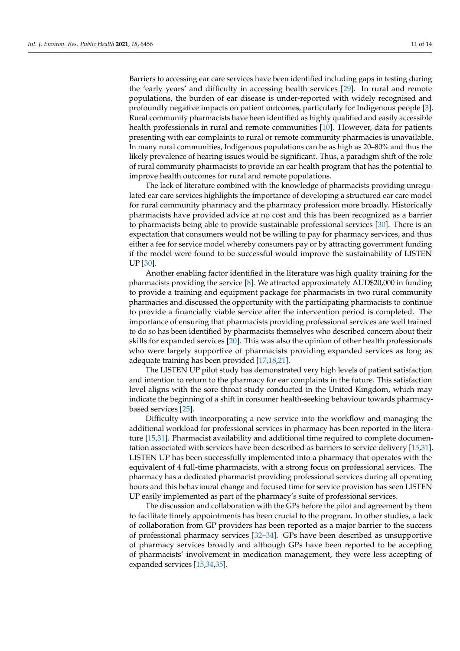Barriers to accessing ear care services have been identified including gaps in testing during the 'early years' and difficulty in accessing health services [\[29\]](#page-13-7). In rural and remote populations, the burden of ear disease is under-reported with widely recognised and profoundly negative impacts on patient outcomes, particularly for Indigenous people [\[3\]](#page-12-2). Rural community pharmacists have been identified as highly qualified and easily accessible health professionals in rural and remote communities [\[10\]](#page-12-9). However, data for patients presenting with ear complaints to rural or remote community pharmacies is unavailable. In many rural communities, Indigenous populations can be as high as 20–80% and thus the likely prevalence of hearing issues would be significant. Thus, a paradigm shift of the role of rural community pharmacists to provide an ear health program that has the potential to improve health outcomes for rural and remote populations.

The lack of literature combined with the knowledge of pharmacists providing unregulated ear care services highlights the importance of developing a structured ear care model for rural community pharmacy and the pharmacy profession more broadly. Historically pharmacists have provided advice at no cost and this has been recognized as a barrier to pharmacists being able to provide sustainable professional services [\[30\]](#page-13-8). There is an expectation that consumers would not be willing to pay for pharmacy services, and thus either a fee for service model whereby consumers pay or by attracting government funding if the model were found to be successful would improve the sustainability of LISTEN UP [\[30\]](#page-13-8).

Another enabling factor identified in the literature was high quality training for the pharmacists providing the service [\[8\]](#page-12-7). We attracted approximately AUD\$20,000 in funding to provide a training and equipment package for pharmacists in two rural community pharmacies and discussed the opportunity with the participating pharmacists to continue to provide a financially viable service after the intervention period is completed. The importance of ensuring that pharmacists providing professional services are well trained to do so has been identified by pharmacists themselves who described concern about their skills for expanded services [\[20\]](#page-12-19). This was also the opinion of other health professionals who were largely supportive of pharmacists providing expanded services as long as adequate training has been provided [\[17,](#page-12-20)[18](#page-12-17)[,21\]](#page-12-15).

The LISTEN UP pilot study has demonstrated very high levels of patient satisfaction and intention to return to the pharmacy for ear complaints in the future. This satisfaction level aligns with the sore throat study conducted in the United Kingdom, which may indicate the beginning of a shift in consumer health-seeking behaviour towards pharmacybased services [\[25\]](#page-13-3).

Difficulty with incorporating a new service into the workflow and managing the additional workload for professional services in pharmacy has been reported in the literature [\[15](#page-12-14)[,31\]](#page-13-9). Pharmacist availability and additional time required to complete documentation associated with services have been described as barriers to service delivery [\[15,](#page-12-14)[31\]](#page-13-9). LISTEN UP has been successfully implemented into a pharmacy that operates with the equivalent of 4 full-time pharmacists, with a strong focus on professional services. The pharmacy has a dedicated pharmacist providing professional services during all operating hours and this behavioural change and focused time for service provision has seen LISTEN UP easily implemented as part of the pharmacy's suite of professional services.

The discussion and collaboration with the GPs before the pilot and agreement by them to facilitate timely appointments has been crucial to the program. In other studies, a lack of collaboration from GP providers has been reported as a major barrier to the success of professional pharmacy services [\[32](#page-13-10)[–34\]](#page-13-11). GPs have been described as unsupportive of pharmacy services broadly and although GPs have been reported to be accepting of pharmacists' involvement in medication management, they were less accepting of expanded services [\[15,](#page-12-14)[34](#page-13-11)[,35\]](#page-13-12).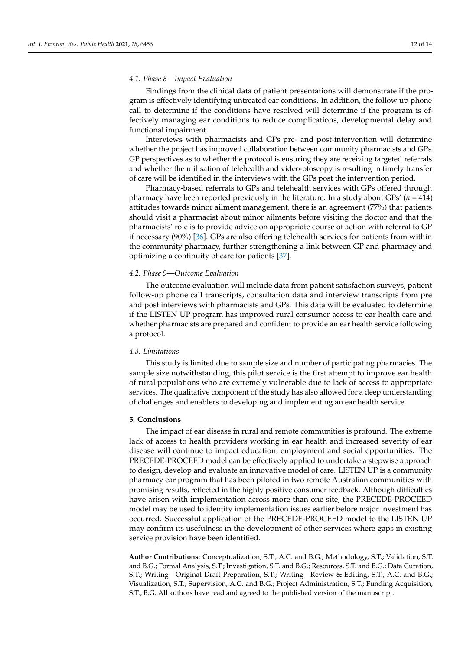#### *4.1. Phase 8—Impact Evaluation*

Findings from the clinical data of patient presentations will demonstrate if the program is effectively identifying untreated ear conditions. In addition, the follow up phone call to determine if the conditions have resolved will determine if the program is effectively managing ear conditions to reduce complications, developmental delay and functional impairment.

Interviews with pharmacists and GPs pre- and post-intervention will determine whether the project has improved collaboration between community pharmacists and GPs. GP perspectives as to whether the protocol is ensuring they are receiving targeted referrals and whether the utilisation of telehealth and video-otoscopy is resulting in timely transfer of care will be identified in the interviews with the GPs post the intervention period.

Pharmacy-based referrals to GPs and telehealth services with GPs offered through pharmacy have been reported previously in the literature. In a study about GPs' (*n* = 414) attitudes towards minor ailment management, there is an agreement (77%) that patients should visit a pharmacist about minor ailments before visiting the doctor and that the pharmacists' role is to provide advice on appropriate course of action with referral to GP if necessary (90%) [\[36\]](#page-13-13). GPs are also offering telehealth services for patients from within the community pharmacy, further strengthening a link between GP and pharmacy and optimizing a continuity of care for patients [\[37\]](#page-13-14).

#### *4.2. Phase 9—Outcome Evaluation*

The outcome evaluation will include data from patient satisfaction surveys, patient follow-up phone call transcripts, consultation data and interview transcripts from pre and post interviews with pharmacists and GPs. This data will be evaluated to determine if the LISTEN UP program has improved rural consumer access to ear health care and whether pharmacists are prepared and confident to provide an ear health service following a protocol.

### *4.3. Limitations*

This study is limited due to sample size and number of participating pharmacies. The sample size notwithstanding, this pilot service is the first attempt to improve ear health of rural populations who are extremely vulnerable due to lack of access to appropriate services. The qualitative component of the study has also allowed for a deep understanding of challenges and enablers to developing and implementing an ear health service.

# **5. Conclusions**

The impact of ear disease in rural and remote communities is profound. The extreme lack of access to health providers working in ear health and increased severity of ear disease will continue to impact education, employment and social opportunities. The PRECEDE-PROCEED model can be effectively applied to undertake a stepwise approach to design, develop and evaluate an innovative model of care. LISTEN UP is a community pharmacy ear program that has been piloted in two remote Australian communities with promising results, reflected in the highly positive consumer feedback. Although difficulties have arisen with implementation across more than one site, the PRECEDE-PROCEED model may be used to identify implementation issues earlier before major investment has occurred. Successful application of the PRECEDE-PROCEED model to the LISTEN UP may confirm its usefulness in the development of other services where gaps in existing service provision have been identified.

**Author Contributions:** Conceptualization, S.T., A.C. and B.G.; Methodology, S.T.; Validation, S.T. and B.G.; Formal Analysis, S.T.; Investigation, S.T. and B.G.; Resources, S.T. and B.G.; Data Curation, S.T.; Writing—Original Draft Preparation, S.T.; Writing—Review & Editing, S.T., A.C. and B.G.; Visualization, S.T.; Supervision, A.C. and B.G.; Project Administration, S.T.; Funding Acquisition, S.T., B.G. All authors have read and agreed to the published version of the manuscript.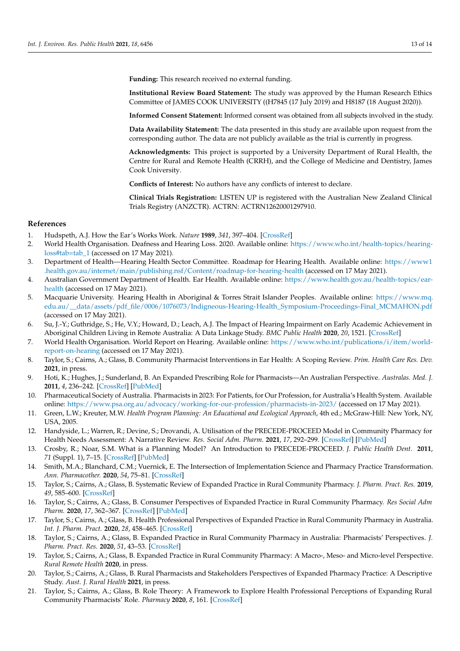**Funding:** This research received no external funding.

**Institutional Review Board Statement:** The study was approved by the Human Research Ethics Committee of JAMES COOK UNIVERSITY ((H7845 (17 July 2019) and H8187 (18 August 2020)).

**Informed Consent Statement:** Informed consent was obtained from all subjects involved in the study.

**Data Availability Statement:** The data presented in this study are available upon request from the corresponding author. The data are not publicly available as the trial is currently in progress.

**Acknowledgments:** This project is supported by a University Department of Rural Health, the Centre for Rural and Remote Health (CRRH), and the College of Medicine and Dentistry, James Cook University.

**Conflicts of Interest:** No authors have any conflicts of interest to declare.

**Clinical Trials Registration:** LISTEN UP is registered with the Australian New Zealand Clinical Trials Registry (ANZCTR). ACTRN: ACTRN12620001297910.

# **References**

- <span id="page-12-0"></span>1. Hudspeth, A.J. How the Ear's Works Work. *Nature* **1989**, *341*, 397–404. [\[CrossRef\]](http://doi.org/10.1038/341397a0)
- <span id="page-12-1"></span>2. World Health Organisation. Deafness and Hearing Loss. 2020. Available online: [https://www.who.int/health-topics/hearing](https://www.who.int/health-topics/hearing-loss#tab=tab_1)[loss#tab=tab\\_1](https://www.who.int/health-topics/hearing-loss#tab=tab_1) (accessed on 17 May 2021).
- <span id="page-12-2"></span>3. Department of Health—Hearing Health Sector Committee. Roadmap for Hearing Health. Available online: [https://www1](https://www1.health.gov.au/internet/main/publishing.nsf/Content/roadmap-for-hearing-health) [.health.gov.au/internet/main/publishing.nsf/Content/roadmap-for-hearing-health](https://www1.health.gov.au/internet/main/publishing.nsf/Content/roadmap-for-hearing-health) (accessed on 17 May 2021).
- <span id="page-12-3"></span>4. Australian Government Department of Health. Ear Health. Available online: [https://www.health.gov.au/health-topics/ear](https://www.health.gov.au/health-topics/ear-health)[health](https://www.health.gov.au/health-topics/ear-health) (accessed on 17 May 2021).
- <span id="page-12-4"></span>5. Macquarie University. Hearing Health in Aboriginal & Torres Strait Islander Peoples. Available online: [https://www.mq.](https://www.mq.edu.au/__data/assets/pdf_file/0006/1076073/Indigneous-Hearing-Health_Symposium-Proceedings-Final_MCMAHON.pdf) [edu.au/\\_\\_data/assets/pdf\\_file/0006/1076073/Indigneous-Hearing-Health\\_Symposium-Proceedings-Final\\_MCMAHON.pdf](https://www.mq.edu.au/__data/assets/pdf_file/0006/1076073/Indigneous-Hearing-Health_Symposium-Proceedings-Final_MCMAHON.pdf) (accessed on 17 May 2021).
- <span id="page-12-5"></span>6. Su, J.-Y.; Guthridge, S.; He, V.Y.; Howard, D.; Leach, A.J. The Impact of Hearing Impairment on Early Academic Achievement in Aboriginal Children Living in Remote Australia: A Data Linkage Study. *BMC Public Health* **2020**, *20*, 1521. [\[CrossRef\]](http://doi.org/10.1186/s12889-020-09620-6)
- <span id="page-12-6"></span>7. World Health Organisation. World Report on Hearing. Available online: [https://www.who.int/publications/i/item/world](https://www.who.int/publications/i/item/world-report-on-hearing)[report-on-hearing](https://www.who.int/publications/i/item/world-report-on-hearing) (accessed on 17 May 2021).
- <span id="page-12-7"></span>8. Taylor, S.; Cairns, A.; Glass, B. Community Pharmacist Interventions in Ear Health: A Scoping Review. *Prim. Health Care Res. Dev.* **2021**, in press.
- <span id="page-12-8"></span>9. Hoti, K.; Hughes, J.; Sunderland, B. An Expanded Prescribing Role for Pharmacists—An Australian Perspective. *Australas. Med. J.* **2011**, *4*, 236–242. [\[CrossRef\]](http://doi.org/10.4066/AMJ.2011.694) [\[PubMed\]](http://www.ncbi.nlm.nih.gov/pubmed/23393515)
- <span id="page-12-9"></span>10. Pharmaceutical Society of Australia. Pharmacists in 2023: For Patients, for Our Profession, for Australia's Health System. Available online: <https://www.psa.org.au/advocacy/working-for-our-profession/pharmacists-in-2023/> (accessed on 17 May 2021).
- <span id="page-12-10"></span>11. Green, L.W.; Kreuter, M.W. *Health Program Planning: An Educational and Ecological Approach*, 4th ed.; McGraw-Hill: New York, NY, USA, 2005.
- <span id="page-12-11"></span>12. Handyside, L.; Warren, R.; Devine, S.; Drovandi, A. Utilisation of the PRECEDE-PROCEED Model in Community Pharmacy for Health Needs Assessment: A Narrative Review. *Res. Social Adm. Pharm.* **2021**, *17*, 292–299. [\[CrossRef\]](http://doi.org/10.1016/j.sapharm.2020.03.021) [\[PubMed\]](http://www.ncbi.nlm.nih.gov/pubmed/32253124)
- <span id="page-12-12"></span>13. Crosby, R.; Noar, S.M. What is a Planning Model? An Introduction to PRECEDE-PROCEED. *J. Public Health Dent.* **2011**, *71* (Suppl. 1), 7–15. [\[CrossRef\]](http://doi.org/10.1111/j.1752-7325.2011.00235.x) [\[PubMed\]](http://www.ncbi.nlm.nih.gov/pubmed/21656942)
- <span id="page-12-13"></span>14. Smith, M.A.; Blanchard, C.M.; Vuernick, E. The Intersection of Implementation Science and Pharmacy Practice Transformation. *Ann. Pharmacother.* **2020**, *54*, 75–81. [\[CrossRef\]](http://doi.org/10.1177/1060028019867253)
- <span id="page-12-14"></span>15. Taylor, S.; Cairns, A.; Glass, B. Systematic Review of Expanded Practice in Rural Community Pharmacy. *J. Pharm. Pract. Res.* **2019**, *49*, 585–600. [\[CrossRef\]](http://doi.org/10.1002/jppr.1619)
- <span id="page-12-16"></span>16. Taylor, S.; Cairns, A.; Glass, B. Consumer Perspectives of Expanded Practice in Rural Community Pharmacy. *Res Social Adm Pharm.* **2020**, *17*, 362–367. [\[CrossRef\]](http://doi.org/10.1016/j.sapharm.2020.03.022) [\[PubMed\]](http://www.ncbi.nlm.nih.gov/pubmed/32280050)
- <span id="page-12-20"></span>17. Taylor, S.; Cairns, A.; Glass, B. Health Professional Perspectives of Expanded Practice in Rural Community Pharmacy in Australia. *Int. J. Pharm. Pract.* **2020**, *28*, 458–465. [\[CrossRef\]](http://doi.org/10.1111/ijpp.12648)
- <span id="page-12-17"></span>18. Taylor, S.; Cairns, A.; Glass, B. Expanded Practice in Rural Community Pharmacy in Australia: Pharmacists' Perspectives. *J. Pharm. Pract. Res.* **2020**, *51*, 43–53. [\[CrossRef\]](http://doi.org/10.1002/jppr.1688)
- <span id="page-12-18"></span>19. Taylor, S.; Cairns, A.; Glass, B. Expanded Practice in Rural Community Pharmacy: A Macro-, Meso- and Micro-level Perspective. *Rural Remote Health* **2020**, in press.
- <span id="page-12-19"></span>20. Taylor, S.; Cairns, A.; Glass, B. Rural Pharmacists and Stakeholders Perspectives of Expanded Pharmacy Practice: A Descriptive Study. *Aust. J. Rural Health* **2021**, in press.
- <span id="page-12-15"></span>21. Taylor, S.; Cairns, A.; Glass, B. Role Theory: A Framework to Explore Health Professional Perceptions of Expanding Rural Community Pharmacists' Role. *Pharmacy* **2020**, *8*, 161. [\[CrossRef\]](http://doi.org/10.3390/pharmacy8030161)